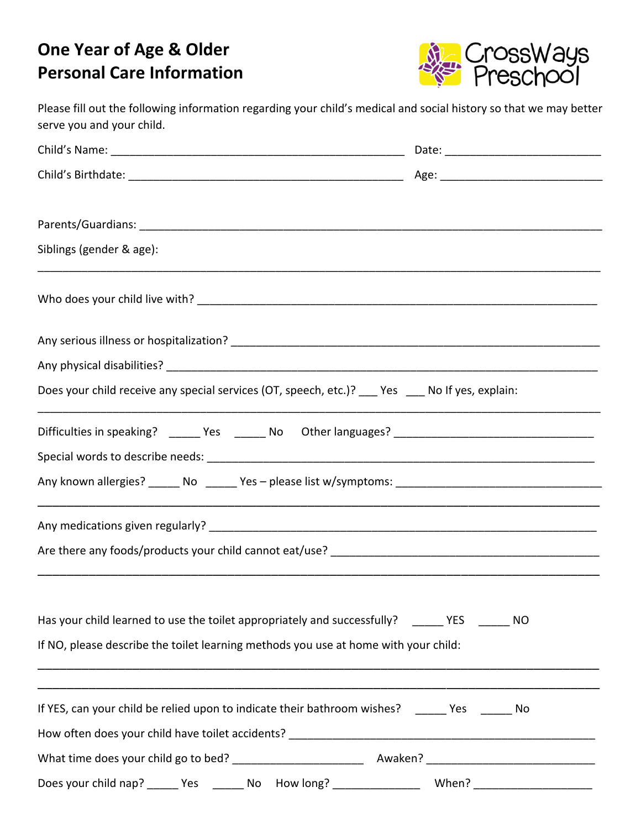## **One Year of Age & Older Personal Care Information**



Please fill out the following information regarding your child's medical and social history so that we may better serve you and your child.

| Siblings (gender & age):                                                                             |    |
|------------------------------------------------------------------------------------------------------|----|
|                                                                                                      |    |
|                                                                                                      |    |
|                                                                                                      |    |
| Does your child receive any special services (OT, speech, etc.)? ___ Yes ___ No If yes, explain:     |    |
|                                                                                                      |    |
|                                                                                                      |    |
|                                                                                                      |    |
|                                                                                                      |    |
|                                                                                                      |    |
|                                                                                                      |    |
| Has your child learned to use the toilet appropriately and successfully? _______ YES _______ NO      |    |
| If NO, please describe the toilet learning methods you use at home with your child:                  |    |
|                                                                                                      |    |
| If YES, can your child be relied upon to indicate their bathroom wishes? ______ Yes _____            | No |
|                                                                                                      |    |
|                                                                                                      |    |
| Does your child nap? ______ Yes _______ No How long? __________________ When? ______________________ |    |